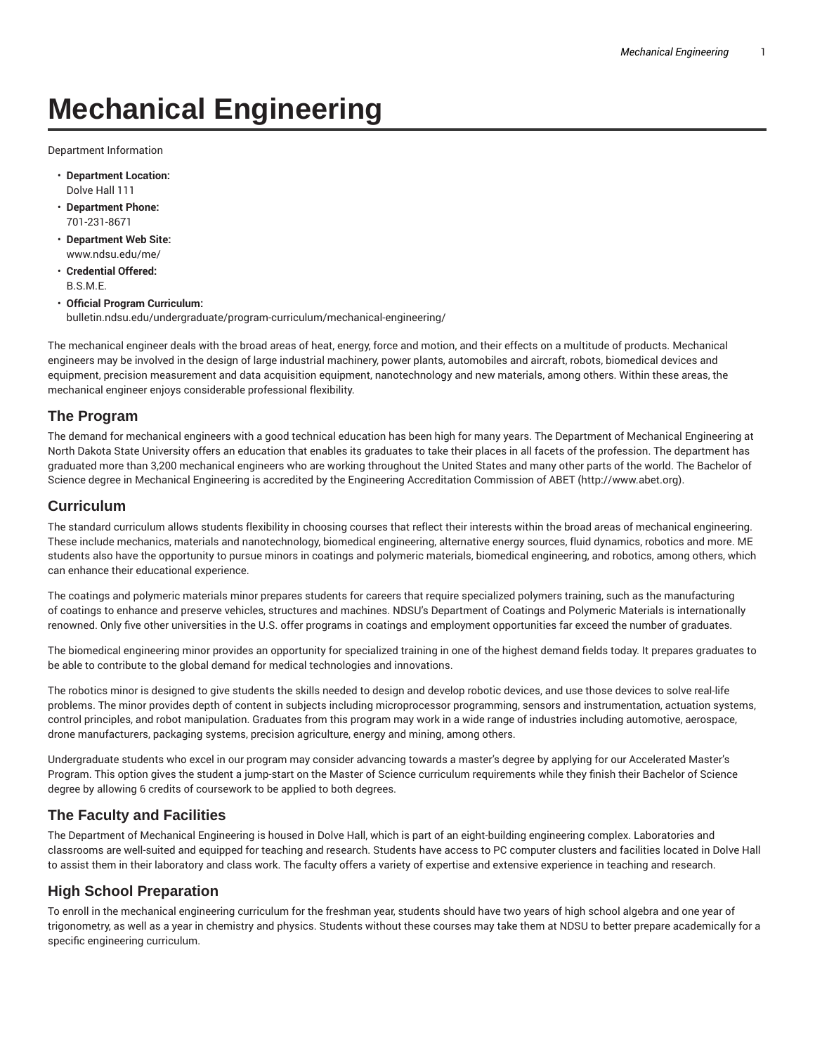# **Mechanical Engineering**

Department Information

- **Department Location:** Dolve Hall 111
- **Department Phone:** 701-231-8671
- **Department Web Site:** www.ndsu.edu/me/
- **Credential Offered:** B.S.M.E.
- **Official Program Curriculum:** bulletin.ndsu.edu/undergraduate/program-curriculum/mechanical-engineering/

The mechanical engineer deals with the broad areas of heat, energy, force and motion, and their effects on a multitude of products. Mechanical engineers may be involved in the design of large industrial machinery, power plants, automobiles and aircraft, robots, biomedical devices and equipment, precision measurement and data acquisition equipment, nanotechnology and new materials, among others. Within these areas, the mechanical engineer enjoys considerable professional flexibility.

## **The Program**

The demand for mechanical engineers with a good technical education has been high for many years. The Department of Mechanical Engineering at North Dakota State University offers an education that enables its graduates to take their places in all facets of the profession. The department has graduated more than 3,200 mechanical engineers who are working throughout the United States and many other parts of the world. The Bachelor of Science degree in Mechanical Engineering is accredited by the Engineering Accreditation Commission of ABET (http://www.abet.org).

#### **Curriculum**

The standard curriculum allows students flexibility in choosing courses that reflect their interests within the broad areas of mechanical engineering. These include mechanics, materials and nanotechnology, biomedical engineering, alternative energy sources, fluid dynamics, robotics and more. ME students also have the opportunity to pursue minors in coatings and polymeric materials, biomedical engineering, and robotics, among others, which can enhance their educational experience.

The coatings and polymeric materials minor prepares students for careers that require specialized polymers training, such as the manufacturing of coatings to enhance and preserve vehicles, structures and machines. NDSU's Department of Coatings and Polymeric Materials is internationally renowned. Only five other universities in the U.S. offer programs in coatings and employment opportunities far exceed the number of graduates.

The biomedical engineering minor provides an opportunity for specialized training in one of the highest demand fields today. It prepares graduates to be able to contribute to the global demand for medical technologies and innovations.

The robotics minor is designed to give students the skills needed to design and develop robotic devices, and use those devices to solve real-life problems. The minor provides depth of content in subjects including microprocessor programming, sensors and instrumentation, actuation systems, control principles, and robot manipulation. Graduates from this program may work in a wide range of industries including automotive, aerospace, drone manufacturers, packaging systems, precision agriculture, energy and mining, among others.

Undergraduate students who excel in our program may consider advancing towards a master's degree by applying for our Accelerated Master's Program. This option gives the student a jump-start on the Master of Science curriculum requirements while they finish their Bachelor of Science degree by allowing 6 credits of coursework to be applied to both degrees.

## **The Faculty and Facilities**

The Department of Mechanical Engineering is housed in Dolve Hall, which is part of an eight-building engineering complex. Laboratories and classrooms are well-suited and equipped for teaching and research. Students have access to PC computer clusters and facilities located in Dolve Hall to assist them in their laboratory and class work. The faculty offers a variety of expertise and extensive experience in teaching and research.

#### **High School Preparation**

To enroll in the mechanical engineering curriculum for the freshman year, students should have two years of high school algebra and one year of trigonometry, as well as a year in chemistry and physics. Students without these courses may take them at NDSU to better prepare academically for a specific engineering curriculum.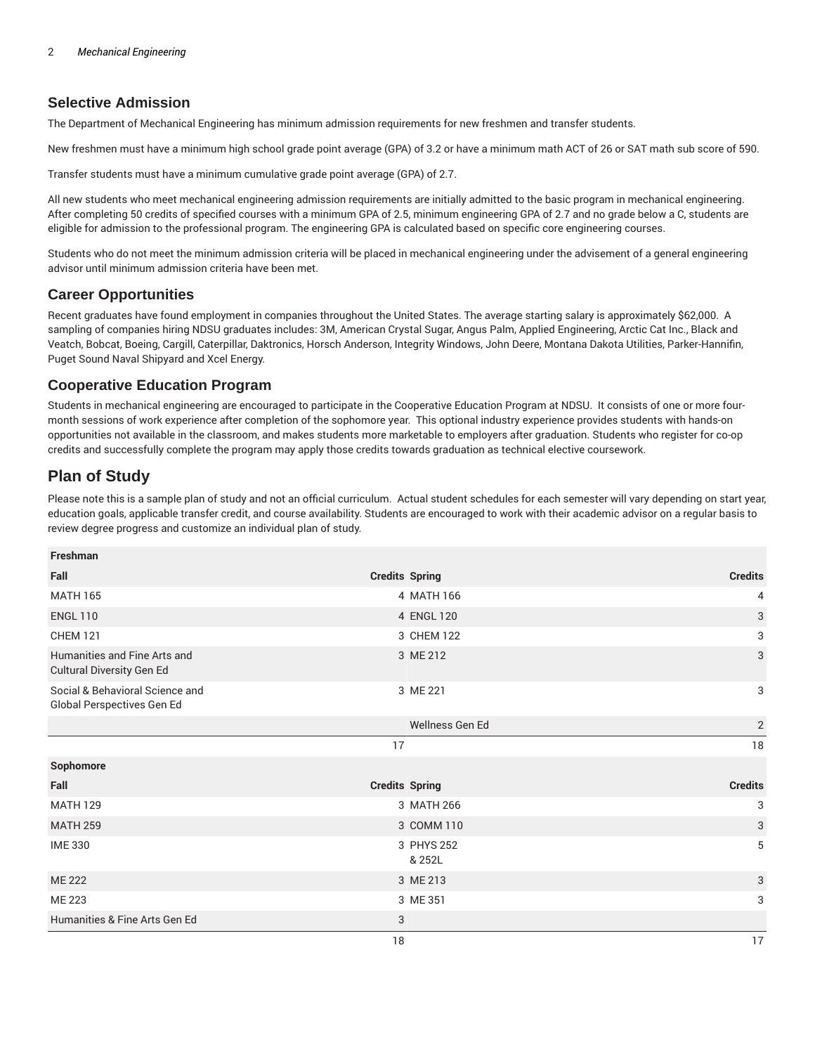#### **Selective Admission**

The Department of Mechanical Engineering has minimum admission requirements for new freshmen and transfer students.

New freshmen must have a minimum high school grade point average (GPA) of 3.2 or have a minimum math ACT of 26 or SAT math sub score of 590.

Transfer students must have a minimum cumulative grade point average (GPA) of 2.7.

All new students who meet mechanical engineering admission requirements are initially admitted to the basic program in mechanical engineering. After completing 50 credits of specified courses with a minimum GPA of 2.5, minimum engineering GPA of 2.7 and no grade below a C, students are eligible for admission to the professional program. The engineering GPA is calculated based on specific core engineering courses.

Students who do not meet the minimum admission criteria will be placed in mechanical engineering under the advisement of a general engineering advisor until minimum admission criteria have been met.

#### **Career Opportunities**

Recent graduates have found employment in companies throughout the United States. The average starting salary is approximately \$62,000. A sampling of companies hiring NDSU graduates includes: 3M, American Crystal Sugar, Angus Palm, Applied Engineering, Arctic Cat Inc., Black and Veatch, Bobcat, Boeing, Cargill, Caterpillar, Daktronics, Horsch Anderson, Integrity Windows, John Deere, Montana Dakota Utilities, Parker-Hannifin, Puget Sound Naval Shipyard and Xcel Energy.

#### **Cooperative Education Program**

Students in mechanical engineering are encouraged to participate in the Cooperative Education Program at NDSU. It consists of one or more fourmonth sessions of work experience after completion of the sophomore year. This optional industry experience provides students with hands-on opportunities not available in the classroom, and makes students more marketable to employers after graduation. Students who register for co-op credits and successfully complete the program may apply those credits towards graduation as technical elective coursework.

## **Plan of Study**

Please note this is a sample plan of study and not an official curriculum. Actual student schedules for each semester will vary depending on start year, education goals, applicable transfer credit, and course availability. Students are encouraged to work with their academic advisor on a regular basis to review degree progress and customize an individual plan of study.

| Freshman                                                      |                       |                      |                |
|---------------------------------------------------------------|-----------------------|----------------------|----------------|
| Fall                                                          | <b>Credits Spring</b> |                      | <b>Credits</b> |
| <b>MATH 165</b>                                               |                       | 4 MATH 166           | 4              |
| <b>ENGL 110</b>                                               |                       | 4 ENGL 120           | 3              |
| <b>CHEM 121</b>                                               |                       | 3 CHEM 122           | 3              |
| Humanities and Fine Arts and<br>Cultural Diversity Gen Ed     |                       | 3 ME 212             | 3              |
| Social & Behavioral Science and<br>Global Perspectives Gen Ed |                       | 3 ME 221             | 3              |
|                                                               |                       | Wellness Gen Ed      | $\sqrt{2}$     |
|                                                               | 17                    |                      | 18             |
| Sophomore                                                     |                       |                      |                |
| Fall                                                          | <b>Credits Spring</b> |                      | <b>Credits</b> |
| <b>MATH 129</b>                                               |                       | 3 MATH 266           | 3              |
| <b>MATH 259</b>                                               |                       | 3 COMM 110           | 3              |
| <b>IME 330</b>                                                |                       | 3 PHYS 252<br>& 252L | 5              |
| <b>ME 222</b>                                                 |                       | 3 ME 213             | 3              |
| <b>ME 223</b>                                                 |                       | 3 ME 351             | 3              |
| Humanities & Fine Arts Gen Ed                                 | 3                     |                      |                |